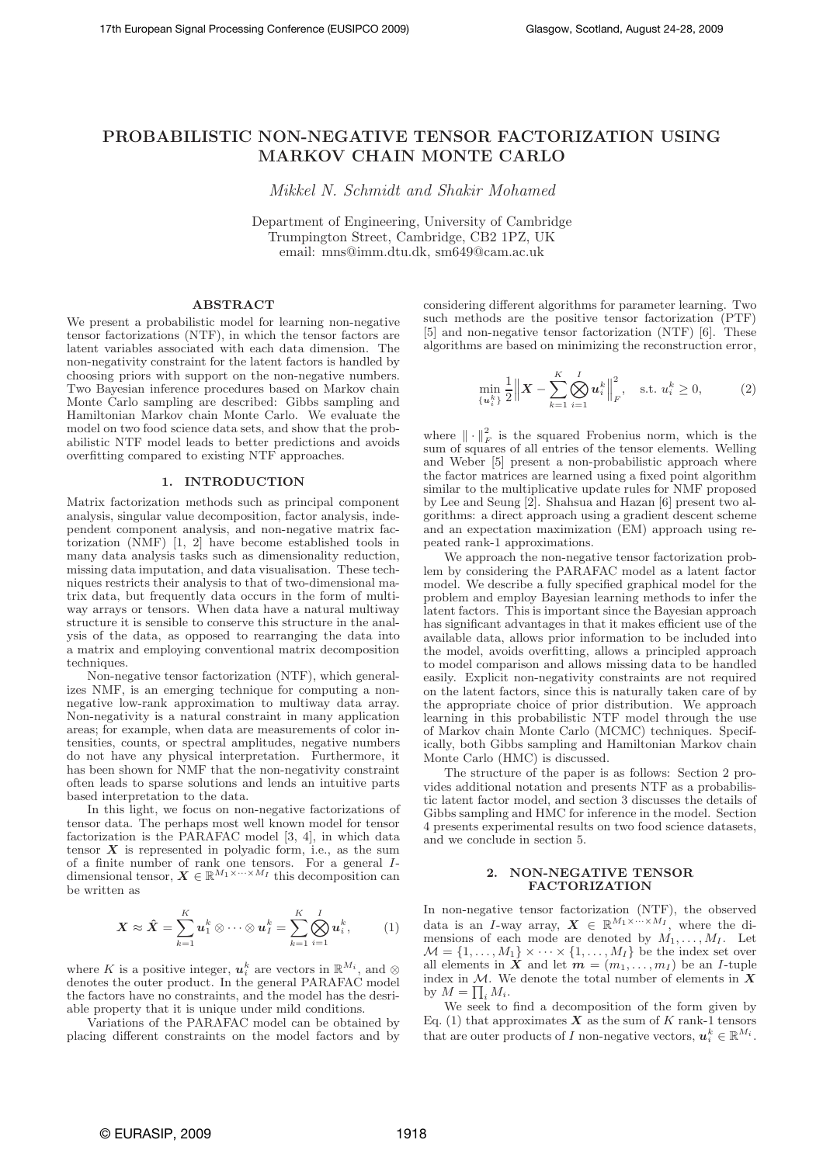# PROBABILISTIC NON-NEGATIVE TENSOR FACTORIZATION USING MARKOV CHAIN MONTE CARLO

Mikkel N. Schmidt and Shakir Mohamed

Department of Engineering, University of Cambridge Trumpington Street, Cambridge, CB2 1PZ, UK email: mns@imm.dtu.dk, sm649@cam.ac.uk

# ABSTRACT

We present a probabilistic model for learning non-negative tensor factorizations (NTF), in which the tensor factors are latent variables associated with each data dimension. The non-negativity constraint for the latent factors is handled by choosing priors with support on the non-negative numbers. Two Bayesian inference procedures based on Markov chain Monte Carlo sampling are described: Gibbs sampling and Hamiltonian Markov chain Monte Carlo. We evaluate the model on two food science data sets, and show that the probabilistic NTF model leads to better predictions and avoids overfitting compared to existing  ${\rm NTF}$  approaches.

#### 1. INTRODUCTION

Matrix factorization methods such as principal component analysis, singular value decomposition, factor analysis, independent component analysis, and non-negative matrix factorization (NMF) [1, 2] have become established tools in many data analysis tasks such as dimensionality reduction, missing data imputation, and data visualisation. These techniques restricts their analysis to that of two-dimensional matrix data, but frequently data occurs in the form of multiway arrays or tensors. When data have a natural multiway structure it is sensible to conserve this structure in the analysis of the data, as opposed to rearranging the data into a matrix and employing conventional matrix decomposition techniques.

Non-negative tensor factorization (NTF), which generalizes NMF, is an emerging technique for computing a nonnegative low-rank approximation to multiway data array. Non-negativity is a natural constraint in many application areas; for example, when data are measurements of color intensities, counts, or spectral amplitudes, negative numbers do not have any physical interpretation. Furthermore, it has been shown for NMF that the non-negativity constraint often leads to sparse solutions and lends an intuitive parts based interpretation to the data.

In this light, we focus on non-negative factorizations of tensor data. The perhaps most well known model for tensor factorization is the PARAFAC model [3, 4], in which data tensor  $X$  is represented in polyadic form, i.e., as the sum of a finite number of rank one tensors. For a general I-<br>dimensional tensor,  $\mathbf{X} \in \mathbb{R}^{M_1 \times \cdots \times M_I}$  this decomposition can be written as

$$
\mathbf{X} \approx \hat{\mathbf{X}} = \sum_{k=1}^{K} \mathbf{u}_1^k \otimes \cdots \otimes \mathbf{u}_I^k = \sum_{k=1}^{K} \bigotimes_{i=1}^{I} \mathbf{u}_i^k, \quad (1)
$$

where K is a positive integer,  $u_i^k$  are vectors in  $\mathbb{R}^{M_i}$ , and  $\otimes$ denotes the outer product. In the general PARAFAC model the factors have no constraints, and the model has the desriable property that it is unique under mild conditions.

Variations of the PARAFAC model can be obtained by placing different constraints on the model factors and by

considering different algorithms for parameter learning. Two such methods are the positive tensor factorization (PTF) [5] and non-negative tensor factorization (NTF) [6]. These algorithms are based on minimizing the reconstruction error,

$$
\min_{\{u_i^k\}} \frac{1}{2} \| \boldsymbol{X} - \sum_{k=1}^K \bigotimes_{i=1}^I u_i^k \Big\|_F^2, \quad \text{s.t. } u_i^k \ge 0,
$$
 (2)

where  $\|\cdot\|_F^2$  is the squared Frobenius norm, which is the sum of squares of all entries of the tensor elements. Welling and Weber [5] present a non-probabilistic approach where the factor matrices are learned using a fixed point algorithm similar to the multiplicative update rules for NMF proposed by Lee and Seung [2]. Shahsua and Hazan [6] present two algorithms: a direct approach using a gradient descent scheme and an expectation maximization (EM) approach using repeated rank-1 approximations.

We approach the non-negative tensor factorization problem by considering the PARAFAC model as a latent factor model. We describe a fully specified graphical model for the problem and employ Bayesian learning methods to infer the latent factors. This is important since the Bayesian approach has significant advantages in that it makes efficient use of the available data, allows prior information to be included into the model, avoids overfitting, allows a principled approach to model comparison and allows missing data to be handled easily. Explicit non-negativity constraints are not required on the latent factors, since this is naturally taken care of by the appropriate choice of prior distribution. We approach learning in this probabilistic NTF model through the use of Markov chain Monte Carlo (MCMC) techniques. Specifically, both Gibbs sampling and Hamiltonian Markov chain Monte Carlo (HMC) is discussed.

The structure of the paper is as follows: Section 2 provides additional notation and presents NTF as a probabilistic latent factor model, and section 3 discusses the details of Gibbs sampling and HMC for inference in the model. Section 4 presents experimental results on two food science datasets, and we conclude in section 5.

## 2. NON-NEGATIVE TENSOR FACTORIZATION

In non-negative tensor factorization (NTF), the observed data is an I-way array,  $\mathbf{X} \in \mathbb{R}^{M_1 \times \cdots \times M_I}$ , where the dimensions of each mode are denoted by  $M_1, \ldots, M_I$ . Let  $\mathcal{M} = \{1, \ldots, M_1\} \times \cdots \times \{1, \ldots, M_I\}$  be the index set over all elements in  $\tilde{X}$  and let  $m = (m_1, \ldots, m_I)$  be an *I*-tuple index in  $M$ . We denote the total number of elements in  $X$ by  $M = \prod_i M_i$ .

We seek to find a decomposition of the form given by Eq. (1) that approximates  $\overline{X}$  as the sum of  $K$  rank-1 tensors that are outer products of I non-negative vectors,  $u_i^k \in \mathbb{R}^{M_i}$ .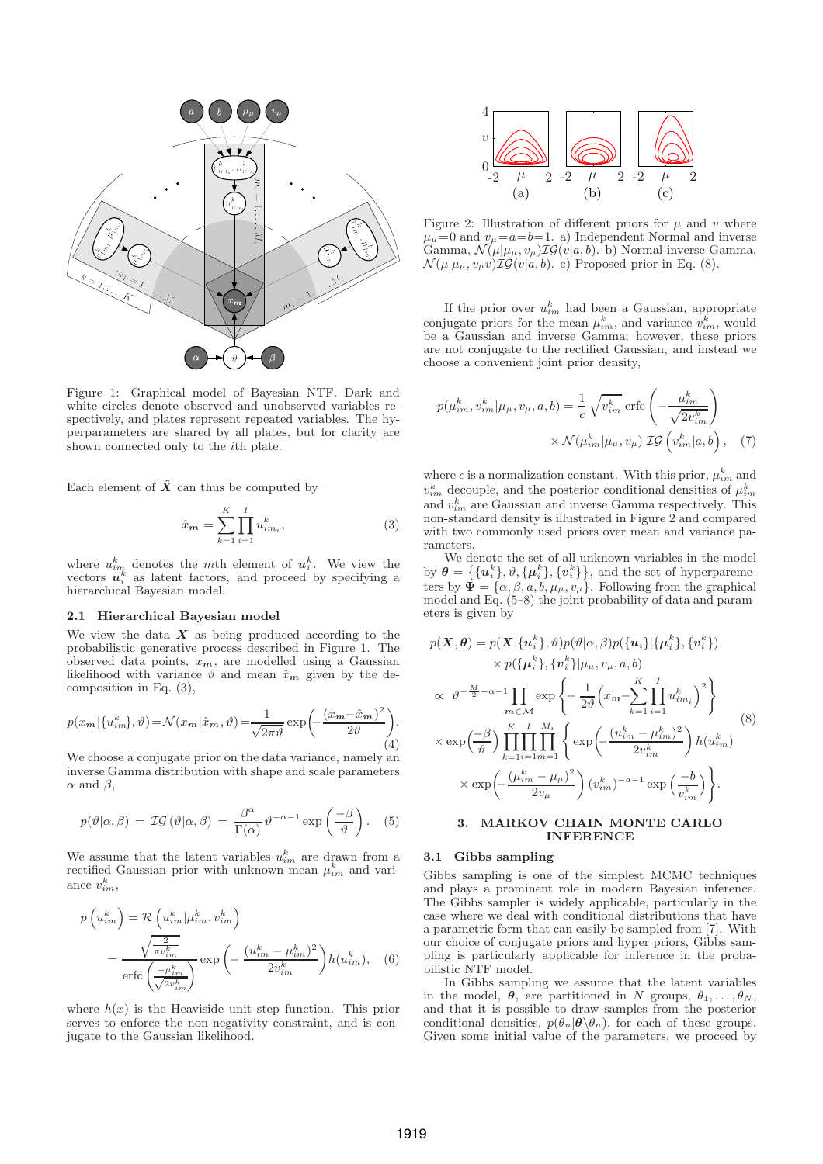

Figure 1: Graphical model of Bayesian NTF. Dark and white circles denote observed and unobserved variables respectively, and plates represent repeated variables. The hyperparameters are shared by all plates, but for clarity are shown connected only to the ith plate.

Each element of  $\hat{X}$  can thus be computed by

$$
\hat{x}_{m} = \sum_{k=1}^{K} \prod_{i=1}^{I} u_{im_{i}}^{k},
$$
\n(3)

where  $u_{im}^k$  denotes the mth element of  $u_i^k$ . We view the vectors  $\mathbf{u}_i^k$  as latent factors, and proceed by specifying a hierarchical Bayesian model.

## 2.1 Hierarchical Bayesian model

We view the data  $X$  as being produced according to the probabilistic generative process described in Figure 1. The observed data points,  $x_m$ , are modelled using a Gaussian likelihood with variance  $\vartheta$  and mean  $\hat{x}_m$  given by the decomposition in Eq. (3),

$$
p(x_m | \{u_{im}^k\}, \vartheta) = \mathcal{N}(x_m | \hat{x}_m, \vartheta) = \frac{1}{\sqrt{2\pi\vartheta}} \exp\left(-\frac{(x_m - \hat{x}_m)^2}{2\vartheta}\right).
$$
\n(4)

We choose a conjugate prior on the data variance, namely an inverse Gamma distribution with shape and scale parameters  $\alpha$  and  $\beta$ ,

$$
p(\vartheta|\alpha,\beta) = \mathcal{IG}(\vartheta|\alpha,\beta) = \frac{\beta^{\alpha}}{\Gamma(\alpha)} \vartheta^{-\alpha-1} \exp\left(\frac{-\beta}{\vartheta}\right). \quad (5)
$$

We assume that the latent variables  $u_{im}^k$  are drawn from a rectified Gaussian prior with unknown mean  $\mu_{im}^k$  and variance  $v_{im}^k$ ,

$$
p\left(u_{im}^{k}\right) = \mathcal{R}\left(u_{im}^{k}|\mu_{im}^{k}, v_{im}^{k}\right)
$$

$$
= \frac{\sqrt{\frac{2}{\pi v_{im}^{k}}}}{\text{erfc}\left(\frac{-\mu_{im}^{k}}{\sqrt{2v_{im}^{k}}}\right)} \exp\left(-\frac{\left(u_{im}^{k}-\mu_{im}^{k}\right)^{2}}{2v_{im}^{k}}\right)h(u_{im}^{k}), \quad (6)
$$

where  $h(x)$  is the Heaviside unit step function. This prior serves to enforce the non-negativity constraint, and is conjugate to the Gaussian likelihood.



Figure 2: Illustration of different priors for  $\mu$  and  $\upsilon$  where  $\mu_{\mu}=0$  and  $v_{\mu}=a=b=1.$  a) Independent Normal and inverse Gamma,  $\mathcal{N}(\mu|\mu_{\mu}, v_{\mu}) \mathcal{IG}(v|a, b)$ . b) Normal-inverse-Gamma,  $\mathcal{N}(\mu|\mu_{\mu}, v_{\mu}v)\mathcal{IG}(v|a, b)$ . c) Proposed prior in Eq. (8).

If the prior over  $u_{im}^k$  had been a Gaussian, appropriate conjugate priors for the mean  $\mu_{im}^k$ , and variance  $v_{im}^k$ , would be a Gaussian and inverse Gamma; however, these priors are not conjugate to the rectified Gaussian, and instead we choose a convenient joint prior density,

$$
p(\mu_{im}^k, v_{im}^k | \mu_\mu, v_\mu, a, b) = \frac{1}{c} \sqrt{v_{im}^k} \operatorname{erfc} \left( -\frac{\mu_{im}^k}{\sqrt{2v_{im}^k}} \right)
$$

$$
\times \mathcal{N}(\mu_{im}^k | \mu_\mu, v_\mu) \mathcal{IG} \left( v_{im}^k | a, b \right), \quad (7)
$$

where c is a normalization constant. With this prior,  $\mu_{im}^k$  and  $v_{im}^k$  decouple, and the posterior conditional densities of  $\mu_{im}^k$ and  $v_{im}^k$  are Gaussian and inverse Gamma respectively. This non-standard density is illustrated in Figure 2 and compared with two commonly used priors over mean and variance parameters.

We denote the set of all unknown variables in the model by  $\boldsymbol{\theta} = \left\{ {\{\boldsymbol{u}_i^k\}, \vartheta, \{\boldsymbol{\mu}_i^k\}, \{\boldsymbol{v}_i^k\} \right\}$ , and the set of hyperparemeters by  $\mathbf{\Psi} = {\alpha, \beta, a, b, \mu_{\mu}, \nu_{\mu}}$ . Following from the graphical model and Eq. (5–8) the joint probability of data and parameters is given by

$$
p(\boldsymbol{X}, \boldsymbol{\theta}) = p(\boldsymbol{X}|\{\boldsymbol{u}_i^k\}, \vartheta)p(\vartheta|\alpha, \beta)p(\{\boldsymbol{u}_i\}|\{\boldsymbol{\mu}_i^k\}, \{\boldsymbol{v}_i^k\})
$$
  
\n
$$
\times p(\{\boldsymbol{\mu}_i^k\}, \{\boldsymbol{v}_i^k\}|\mu_{\mu}, \nu_{\mu}, a, b)
$$
  
\n
$$
\propto \vartheta^{-\frac{M}{2}-\alpha-1} \prod_{m \in \mathcal{M}} \exp\left\{-\frac{1}{2\vartheta}\left(x_m - \sum_{k=1}^K \prod_{i=1}^I u_{im_i}^k\right)^2\right\}
$$
  
\n
$$
\times \exp\left(\frac{-\beta}{\vartheta}\right) \prod_{k=1}^K \prod_{i=1}^I \prod_{m=1}^{M_i} \left\{\exp\left(-\frac{(u_{im}^k - \mu_{im}^k)^2}{2v_{im}^k}\right) h(u_{im}^k)\right\}
$$
  
\n
$$
\times \exp\left(-\frac{(\mu_{im}^k - \mu_{\mu})^2}{2v_{\mu}}\right) (v_{im}^k)^{-a-1} \exp\left(\frac{-b}{v_{im}^k}\right)\right\}.
$$

## 3. MARKOV CHAIN MONTE CARLO INFERENCE

## 3.1 Gibbs sampling

Gibbs sampling is one of the simplest MCMC techniques and plays a prominent role in modern Bayesian inference. The Gibbs sampler is widely applicable, particularly in the case where we deal with conditional distributions that have a parametric form that can easily be sampled from [7]. With our choice of conjugate priors and hyper priors, Gibbs sampling is particularly applicable for inference in the probabilistic NTF model.

In Gibbs sampling we assume that the latent variables in the model,  $\theta$ , are partitioned in N groups,  $\theta_1, \ldots, \theta_N$ , and that it is possible to draw samples from the posterior conditional densities,  $p(\theta_n|\theta \backslash \theta_n)$ , for each of these groups. Given some initial value of the parameters, we proceed by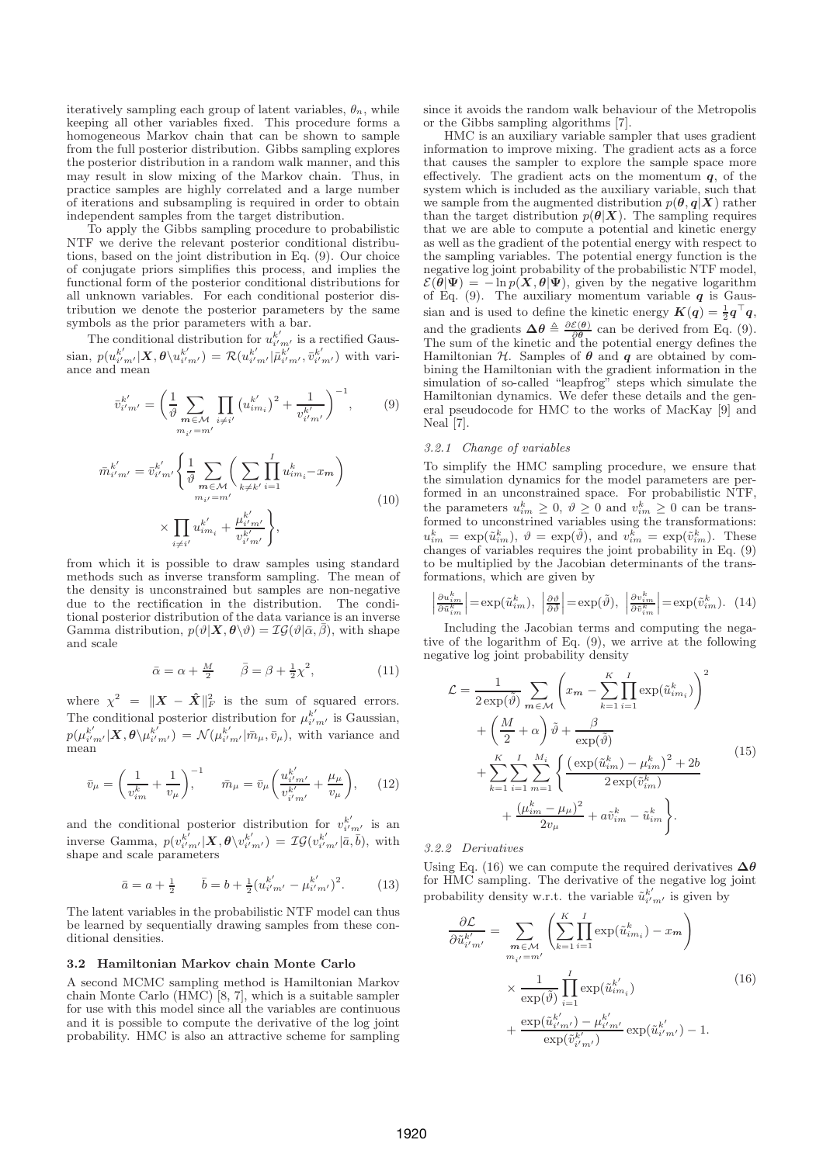iteratively sampling each group of latent variables,  $\theta_n$ , while keeping all other variables fixed. This procedure forms a homogeneous Markov chain that can be shown to sample from the full posterior distribution. Gibbs sampling explores the posterior distribution in a random walk manner, and this may result in slow mixing of the Markov chain. Thus, in practice samples are highly correlated and a large number of iterations and subsampling is required in order to obtain independent samples from the target distribution.

To apply the Gibbs sampling procedure to probabilistic NTF we derive the relevant posterior conditional distributions, based on the joint distribution in Eq. (9). Our choice of conjugate priors simplifies this process, and implies the functional form of the posterior conditional distributions for all unknown variables. For each conditional posterior distribution we denote the posterior parameters by the same symbols as the prior parameters with a bar.

The conditional distribution for  $u_{i'}^{k'}$  $\frac{k'}{i'm'}$  is a rectified Gaussian,  $p(u_{i'}^{k'})$  $_{i^{\prime }m^{\prime }}^{k^{\prime }}|\boldsymbol{X},\boldsymbol{\theta }\backslash u_{i^{\prime }}^{k^{\prime }}$  $\binom{k'}{i'm'}$  =  $\mathcal{R}(u_{i'}^{k'})$  $_{i^{\prime }m^{\prime }}^{k^{\prime }}|\bar{\mu}_{i^{\prime }}^{k^{\prime }}$  $\bar{k}'_{i'm'}, \bar{v}_{i''}^{k'}$  $\binom{k'}{i'm'}$  with variance and mean

 $\mathbf{I}$ 

$$
\bar{v}_{i'm'}^{k'} = \left(\frac{1}{\vartheta} \sum_{\substack{m \in \mathcal{M} \\ m_{i'} = m'}} \prod_{i \neq i'} \left(u_{im_i}^{k'}\right)^2 + \frac{1}{v_{i'm'}^{k'}}\right)^{-1},\tag{9}
$$

$$
\bar{n}_{i'm'}^{k'} = \bar{v}_{i'm'}^{k'} \left\{ \frac{1}{\vartheta} \sum_{m \in \mathcal{M}} \left( \sum_{k \neq k'} \prod_{i=1}^{I} u_{im_i}^{k} - x_m \right) \times \prod_{i \neq i'} u_{im_i}^{k'} + \frac{\mu_{i'm'}^{k'}}{v_{i'm'}^{k'}} \right\},\tag{10}
$$

from which it is possible to draw samples using standard methods such as inverse transform sampling. The mean of the density is unconstrained but samples are non-negative due to the rectification in the distribution. The conditional posterior distribution of the data variance is an inverse Gamma distribution,  $p(\vartheta|\mathbf{X}, \boldsymbol{\theta} \setminus \vartheta) = \mathcal{IG}(\vartheta|\bar{\alpha}, \bar{\beta})$ , with shape and scale

$$
\bar{\alpha} = \alpha + \frac{M}{2} \qquad \bar{\beta} = \beta + \frac{1}{2}\chi^2,\tag{11}
$$

where  $\chi^2 = ||\boldsymbol{X} - \boldsymbol{\hat{X}}||_F^2$  is the sum of squared errors. The conditional posterior distribution for  $\mu_{i'}^{k'}$  $\frac{k'}{i'm'}$  is Gaussian,  $p(\mu^{k'}_{i'}$  $_{i^{\prime }m^{\prime }}^{k^{\prime }}|\boldsymbol{X},\boldsymbol{\theta }\backslash \mu _{i^{\prime }}^{k^{\prime }}$  $\lambda_{i'm'}^{k'} ) = \mathcal{N}(\mu_{i''}^{k'})$  $\bar{i'}_{m'}|\bar{m}_{\mu},\bar{v}_{\mu}\rangle$ , with variance and mean

$$
\bar{v}_{\mu} = \left(\frac{1}{v_{im}^k} + \frac{1}{v_{\mu}}\right)^{-1}, \qquad \bar{m}_{\mu} = \bar{v}_{\mu} \left(\frac{u_{i'm'}^{k'}}{v_{i'm'}^{k'}} + \frac{\mu_{\mu}}{v_{\mu}}\right), \qquad (12)
$$

and the conditional posterior distribution for  $v_{i'}^{k'}$  $\frac{k}{i'm'}$  is an inverse Gamma,  $p(v_{i'}^{k'})$  $\mu_{i'm'}^{k'}|\bm{X},\bm{\theta}\backslash v_{i'}^{k'}$  $\mathcal{L}_{i'm'}^{k'}$ ) =  $\mathcal{IG}(v_{i'}^{k'})$  $_{i'm'}^{k'}|\bar{a},\bar{b}),$  with shape and scale parameters

$$
\bar{a} = a + \frac{1}{2} \qquad \bar{b} = b + \frac{1}{2} (u_{i'm'}^{k'} - \mu_{i'm'}^{k'})^2.
$$
 (13)

The latent variables in the probabilistic NTF model can thus be learned by sequentially drawing samples from these conditional densities.

# 3.2 Hamiltonian Markov chain Monte Carlo

A second MCMC sampling method is Hamiltonian Markov chain Monte Carlo (HMC) [8, 7], which is a suitable sampler for use with this model since all the variables are continuous and it is possible to compute the derivative of the log joint probability. HMC is also an attractive scheme for sampling since it avoids the random walk behaviour of the Metropolis or the Gibbs sampling algorithms [7].

HMC is an auxiliary variable sampler that uses gradient information to improve mixing. The gradient acts as a force that causes the sampler to explore the sample space more effectively. The gradient acts on the momentum  $q$ , of the system which is included as the auxiliary variable, such that we sample from the augmented distribution  $p(\theta, \mathbf{q}|\mathbf{X})$  rather than the target distribution  $p(\theta|X)$ . The sampling requires that we are able to compute a potential and kinetic energy as well as the gradient of the potential energy with respect to the sampling variables. The potential energy function is the negative log joint probability of the probabilistic NTF model,  $\mathcal{E}(\hat{\theta}|\Psi) = -\ln p(\mathbf{X}, \theta|\Psi)$ , given by the negative logarithm of Eq. (9). The auxiliary momentum variable  $q$  is Gaussian and is used to define the kinetic energy  $K(q) = \frac{1}{2}q^{\top}q$ , and the gradients  $\Delta \theta \triangleq \frac{\partial \mathcal{E}(\theta)}{\partial \theta}$  can be derived from Eq. (9). The sum of the kinetic and the potential energy defines the Hamiltonian  $H$ . Samples of  $\theta$  and  $q$  are obtained by combining the Hamiltonian with the gradient information in the simulation of so-called "leapfrog" steps which simulate the Hamiltonian dynamics. We defer these details and the general pseudocode for HMC to the works of MacKay [9] and Neal [7].

#### 3.2.1 Change of variables

To simplify the HMC sampling procedure, we ensure that the simulation dynamics for the model parameters are performed in an unconstrained space. For probabilistic NTF, the parameters  $u_{im}^k \geq 0$ ,  $\vartheta \geq 0$  and  $v_{im}^k \geq 0$  can be transformed to unconstrined variables using the transformations:  $u_{im}^k = \exp(\tilde{u}_{im}^k), \ \vartheta = \exp(\tilde{\vartheta}), \text{ and } v_{im}^k = \exp(\tilde{v}_{im}^k).$  These changes of variables requires the joint probability in Eq. (9) to be multiplied by the Jacobian determinants of the transformations, which are given by

$$
\left| \frac{\partial u_{i_m}^k}{\partial \tilde{u}_{i_m}^k} \right| = \exp(\tilde{u}_{im}^k), \ \left| \frac{\partial \vartheta}{\partial \tilde{v}} \right| = \exp(\tilde{\vartheta}), \ \left| \frac{\partial v_{i_m}^k}{\partial \tilde{v}_{i_m}^k} \right| = \exp(\tilde{v}_{im}^k). \tag{14}
$$

Including the Jacobian terms and computing the negative of the logarithm of Eq. (9), we arrive at the following negative log joint probability density

$$
\mathcal{L} = \frac{1}{2 \exp(\tilde{\vartheta})} \sum_{m \in \mathcal{M}} \left( x_m - \sum_{k=1}^K \prod_{i=1}^I \exp(\tilde{u}_{im_i}^k) \right)^2
$$
  
+ 
$$
\left( \frac{M}{2} + \alpha \right) \tilde{\vartheta} + \frac{\beta}{\exp(\tilde{\vartheta})}
$$
  
+ 
$$
\sum_{k=1}^K \sum_{i=1}^I \sum_{m=1}^{M_i} \left\{ \frac{\left( \exp(\tilde{u}_{im}^k) - \mu_{im}^k \right)^2 + 2b}{2 \exp(\tilde{v}_{im}^k)} + \frac{(\mu_{im}^k - \mu_{\mu})^2}{2v_{\mu}} + a\tilde{v}_{im}^k - \tilde{u}_{im}^k \right\}.
$$

$$
(15)
$$

3.2.2 Derivatives

Using Eq. (16) we can compute the required derivatives  $\Delta\theta$ for HMC sampling. The derivative of the negative log joint probability density w.r.t. the variable  $\tilde{u}_{i'm'}^{k'}$  is given by

$$
\frac{\partial \mathcal{L}}{\partial \tilde{u}_{i'm'}^{k'}} = \sum_{m \in \mathcal{M}} \left( \sum_{k=1}^{K} \prod_{i=1}^{I} \exp(\tilde{u}_{im_i}^k) - x_m \right)
$$

$$
\times \frac{1}{\exp(\tilde{\vartheta})} \prod_{i=1}^{I} \exp(\tilde{u}_{im_i}^{k'})
$$

$$
+ \frac{\exp(\tilde{u}_{i'm'}^{k'}) - \mu_{i'm'}^{k'}}{\exp(\tilde{v}_{i'm'}^{k'})} \exp(\tilde{u}_{i'm'}^{k'}) - 1.
$$
(16)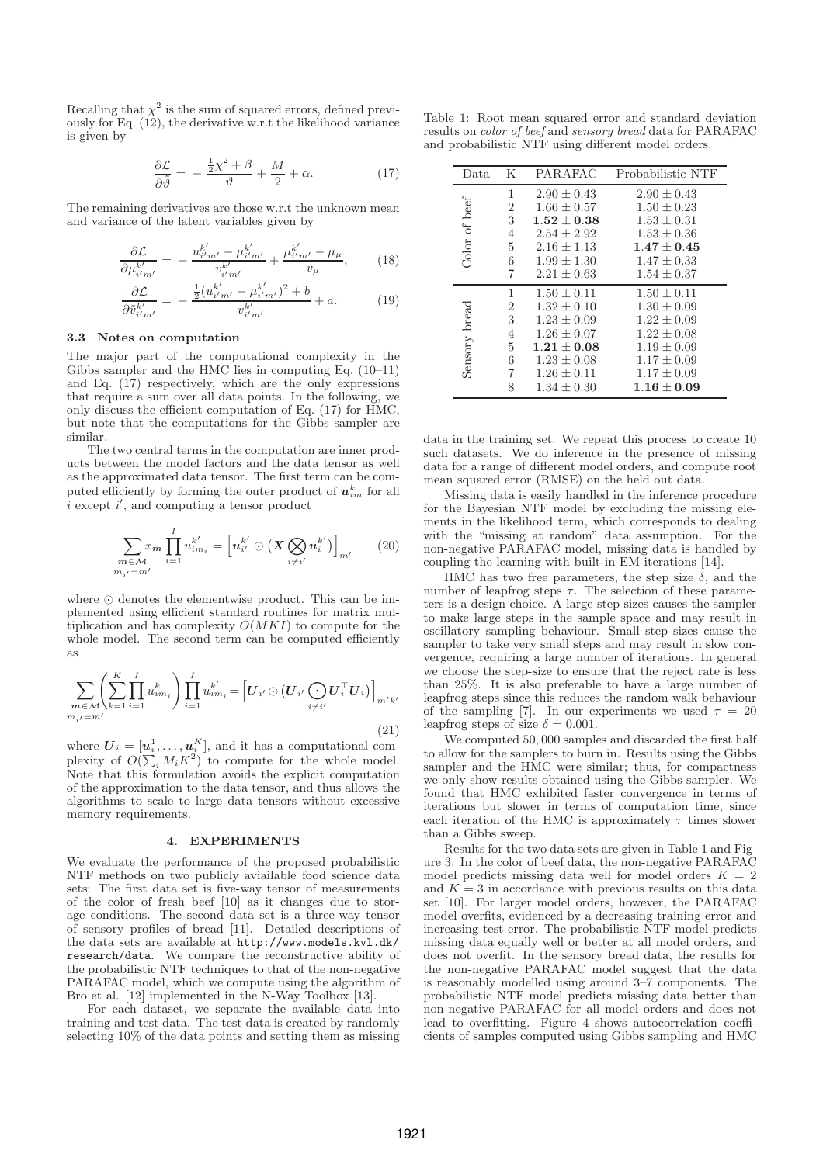Recalling that  $\chi^2$  is the sum of squared errors, defined previously for Eq. (12), the derivative w.r.t the likelihood variance is given by

$$
\frac{\partial \mathcal{L}}{\partial \tilde{\vartheta}} = -\frac{\frac{1}{2}\chi^2 + \beta}{\vartheta} + \frac{M}{2} + \alpha.
$$
 (17)

The remaining derivatives are those w.r.t the unknown mean and variance of the latent variables given by

$$
\frac{\partial \mathcal{L}}{\partial \mu_{i'm'}^{k'}} = -\frac{u_{i'm'}^{k'} - \mu_{i'm'}^{k'}}{v_{i'm'}^{k'}} + \frac{\mu_{i'm'}^{k'} - \mu_{\mu}}{v_{\mu}},\qquad(18)
$$

$$
\frac{\partial \mathcal{L}}{\partial \tilde{v}_{i'm'}^{k'}} = -\frac{\frac{1}{2} (u_{i'm'}^{k'} - \mu_{i'm'}^{k'})^2 + b}{v_{i'm'}^{k'}} + a.
$$
 (19)

# 3.3 Notes on computation

The major part of the computational complexity in the Gibbs sampler and the HMC lies in computing Eq. (10–11) and Eq.  $(17)$  respectively, which are the only expressions that require a sum over all data points. In the following, we only discuss the efficient computation of Eq. (17) for HMC, but note that the computations for the Gibbs sampler are similar.

The two central terms in the computation are inner products between the model factors and the data tensor as well as the approximated data tensor. The first term can be computed efficiently by forming the outer product of  $u_{im}^k$  for all  $\overline{i}$  except  $i'$ , and computing a tensor product

$$
\sum_{\substack{\boldsymbol{m}\in\mathcal{M} \\ m_{i'}=m'}} x_{\boldsymbol{m}} \prod_{i=1}^{I} u_{im_{i}}^{k'} = \left[ u_{i'}^{k'} \odot \left( X \bigotimes_{i\neq i'} u_{i}^{k'} \right) \right]_{m'} \qquad (20)
$$

where ⊙ denotes the elementwise product. This can be implemented using efficient standard routines for matrix multiplication and has complexity  $O(MKI)$  to compute for the whole model. The second term can be computed efficiently as

$$
\sum_{\substack{m \in \mathcal{M} \\ m_{i'} = m'}} \left( \sum_{k=1}^{K} \prod_{i=1}^{I} u_{im_{i}}^{k} \right) \prod_{i=1}^{I} u_{im_{i}}^{k'} = \left[ U_{i'} \odot \left( U_{i'} \bigodot U_{i}^{\top} U_{i} \right) \right]_{m'k'}
$$
\n
$$
(21)
$$

where  $\boldsymbol{U}_i = [\boldsymbol{u}_i^1, \dots, \boldsymbol{u}_i^K]$ , and it has a computational complexity of  $O(\sum_i M_i K^2)$  to compute for the whole model. Note that this formulation avoids the explicit computation of the approximation to the data tensor, and thus allows the algorithms to scale to large data tensors without excessive memory requirements.

#### 4. EXPERIMENTS

We evaluate the performance of the proposed probabilistic NTF methods on two publicly aviailable food science data sets: The first data set is five-way tensor of measurements of the color of fresh beef [10] as it changes due to storage conditions. The second data set is a three-way tensor of sensory profiles of bread [11]. Detailed descriptions of the data sets are available at http://www.models.kvl.dk/ research/data. We compare the reconstructive ability of the probabilistic NTF techniques to that of the non-negative PARAFAC model, which we compute using the algorithm of Bro et al. [12] implemented in the N-Way Toolbox [13].

For each dataset, we separate the available data into training and test data. The test data is created by randomly selecting 10% of the data points and setting them as missing

Table 1: Root mean squared error and standard deviation results on color of beef and sensory bread data for PARAFAC and probabilistic NTF using different model orders.

| Data.         | K              | PARAFAC         | Probabilistic NTF |
|---------------|----------------|-----------------|-------------------|
| Color of beef | 1              | $2.90 \pm 0.43$ | $2.90 \pm 0.43$   |
|               | $\overline{2}$ | $1.66 \pm 0.57$ | $1.50 \pm 0.23$   |
|               | 3              | $1.52\pm0.38$   | $1.53 \pm 0.31$   |
|               | 4              | $2.54 \pm 2.92$ | $1.53 \pm 0.36$   |
|               | 5              | $2.16 \pm 1.13$ | $1.47 + 0.45$     |
|               | 6              | $1.99 + 1.30$   | $1.47 + 0.33$     |
|               | 7              | $2.21 \pm 0.63$ | $1.54 \pm 0.37$   |
| Sensory bread | 1              | $1.50 \pm 0.11$ | $1.50 \pm 0.11$   |
|               | $\overline{2}$ | $1.32 \pm 0.10$ | $1.30 \pm 0.09$   |
|               | 3              | $1.23 + 0.09$   | $1.22 + 0.09$     |
|               | 4              | $1.26 \pm 0.07$ | $1.22 + 0.08$     |
|               | 5              | $1.21 + 0.08$   | $1.19 \pm 0.09$   |
|               | 6              | $1.23 \pm 0.08$ | $1.17 \pm 0.09$   |
|               | 7              | $1.26 \pm 0.11$ | $1.17 \pm 0.09$   |
|               | 8              | $1.34 \pm 0.30$ | $1.16\pm0.09$     |

data in the training set. We repeat this process to create 10 such datasets. We do inference in the presence of missing data for a range of different model orders, and compute root mean squared error (RMSE) on the held out data.

Missing data is easily handled in the inference procedure for the Bayesian NTF model by excluding the missing elements in the likelihood term, which corresponds to dealing with the "missing at random" data assumption. For the non-negative PARAFAC model, missing data is handled by coupling the learning with built-in EM iterations [14].

HMC has two free parameters, the step size  $\delta$ , and the number of leapfrog steps  $\tau$ . The selection of these parameters is a design choice. A large step sizes causes the sampler to make large steps in the sample space and may result in oscillatory sampling behaviour. Small step sizes cause the sampler to take very small steps and may result in slow convergence, requiring a large number of iterations. In general we choose the step-size to ensure that the reject rate is less than 25%. It is also preferable to have a large number of leapfrog steps since this reduces the random walk behaviour of the sampling [7]. In our experiments we used  $\tau = 20$ leapfrog steps of size  $\delta = 0.001$ .

We computed 50, 000 samples and discarded the first half to allow for the samplers to burn in. Results using the Gibbs sampler and the HMC were similar; thus, for compactness we only show results obtained using the Gibbs sampler. We found that HMC exhibited faster convergence in terms of iterations but slower in terms of computation time, since each iteration of the HMC is approximately  $\tau$  times slower than a Gibbs sweep.

Results for the two data sets are given in Table 1 and Figure 3. In the color of beef data, the non-negative PARAFAC model predicts missing data well for model orders  $K = 2$ and  $K = 3$  in accordance with previous results on this data set [10]. For larger model orders, however, the PARAFAC model overfits, evidenced by a decreasing training error and increasing test error. The probabilistic NTF model predicts missing data equally well or better at all model orders, and does not overfit. In the sensory bread data, the results for the non-negative PARAFAC model suggest that the data is reasonably modelled using around  $3-\widetilde{7}$  components. The probabilistic NTF model predicts missing data better than non-negative PARAFAC for all model orders and does not lead to overfitting. Figure 4 shows autocorrelation coefficients of samples computed using Gibbs sampling and HMC